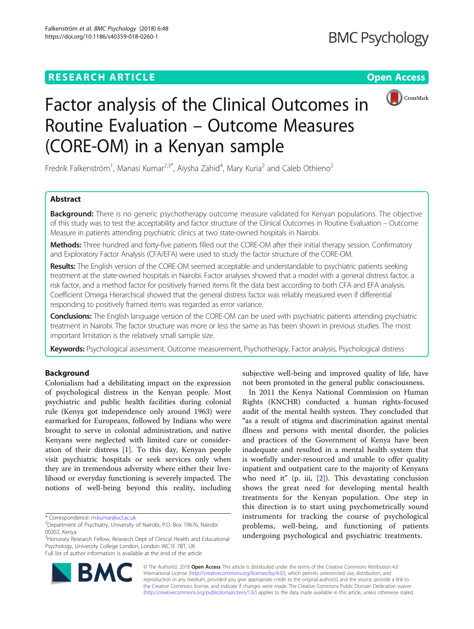## **RESEARCH ARTICLE Example 2018 12:30 THE Open Access**



# Factor analysis of the Clinical Outcomes in Routine Evaluation – Outcome Measures (CORE-OM) in a Kenyan sample

Fredrik Falkenström<sup>1</sup>, Manasi Kumar<sup>2,3\*</sup>, Aiysha Zahid<sup>4</sup>, Mary Kuria<sup>2</sup> and Caleb Othieno<sup>2</sup>

## Abstract

**Background:** There is no generic psychotherapy outcome measure validated for Kenyan populations. The objective of this study was to test the acceptability and factor structure of the Clinical Outcomes in Routine Evaluation – Outcome Measure in patients attending psychiatric clinics at two state-owned hospitals in Nairobi.

Methods: Three hundred and forty-five patients filled out the CORE-OM after their initial therapy session. Confirmatory and Exploratory Factor Analysis (CFA/EFA) were used to study the factor structure of the CORE-OM.

Results: The English version of the CORE-OM seemed acceptable and understandable to psychiatric patients seeking treatment at the state-owned hospitals in Nairobi. Factor analyses showed that a model with a general distress factor, a risk factor, and a method factor for positively framed items fit the data best according to both CFA and EFA analysis. Coefficient Omega Hierarchical showed that the general distress factor was reliably measured even if differential responding to positively framed items was regarded as error variance.

Conclusions: The English language version of the CORE-OM can be used with psychiatric patients attending psychiatric treatment in Nairobi. The factor structure was more or less the same as has been shown in previous studies. The most important limitation is the relatively small sample size.

Keywords: Psychological assessment, Outcome measurement, Psychotherapy, Factor analysis, Psychological distress

## Background

Colonialism had a debilitating impact on the expression of psychological distress in the Kenyan people. Most psychiatric and public health facilities during colonial rule (Kenya got independence only around 1963) were earmarked for Europeans, followed by Indians who were brought to serve in colonial administration, and native Kenyans were neglected with limited care or consideration of their distress [[1\]](#page-6-0). To this day, Kenyan people visit psychiatric hospitals or seek services only when they are in tremendous adversity where either their livelihood or everyday functioning is severely impacted. The notions of well-being beyond this reality, including

<sup>3</sup> Honorary Research Fellow, Research Dept of Clinical Health and Educational Psychology, University College London, London WC1E 7BT, UK Full list of author information is available at the end of the article

subjective well-being and improved quality of life, have not been promoted in the general public consciousness.

In 2011 the Kenya National Commission on Human Rights (KNCHR) conducted a human rights-focused audit of the mental health system. They concluded that "as a result of stigma and discrimination against mental illness and persons with mental disorder, the policies and practices of the Government of Kenya have been inadequate and resulted in a mental health system that is woefully under-resourced and unable to offer quality inpatient and outpatient care to the majority of Kenyans who need it" (p. iii, [\[2\]](#page-6-0)). This devastating conclusion shows the great need for developing mental health treatments for the Kenyan population. One step in this direction is to start using psychometrically sound instruments for tracking the course of psychological problems, well-being, and functioning of patients undergoing psychological and psychiatric treatments.



© The Author(s). 2018 Open Access This article is distributed under the terms of the Creative Commons Attribution 4.0 International License [\(http://creativecommons.org/licenses/by/4.0/](http://creativecommons.org/licenses/by/4.0/)), which permits unrestricted use, distribution, and reproduction in any medium, provided you give appropriate credit to the original author(s) and the source, provide a link to the Creative Commons license, and indicate if changes were made. The Creative Commons Public Domain Dedication waiver [\(http://creativecommons.org/publicdomain/zero/1.0/](http://creativecommons.org/publicdomain/zero/1.0/)) applies to the data made available in this article, unless otherwise stated.

<sup>\*</sup> Correspondence: [m.kumar@ucl.ac.uk](mailto:m.kumar@ucl.ac.uk) <sup>2</sup>

 $2$ Department of Psychiatry, University of Nairobi, P.O. Box 19676, Nairobi 00202, Kenya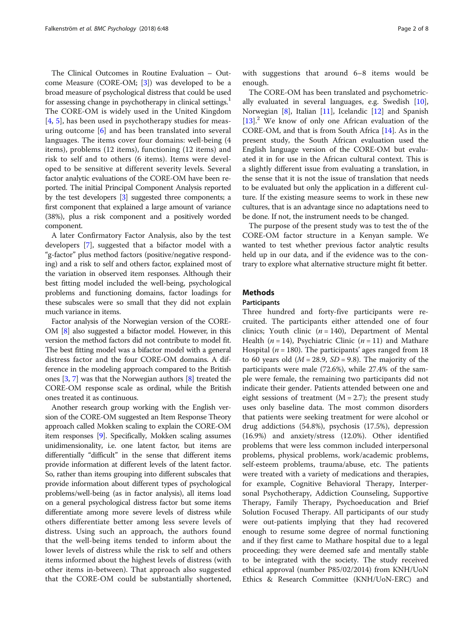The Clinical Outcomes in Routine Evaluation – Outcome Measure (CORE-OM; [\[3](#page-6-0)]) was developed to be a broad measure of psychological distress that could be used for assessing change in psychotherapy in clinical settings.<sup>1</sup> The CORE-OM is widely used in the United Kingdom [[4,](#page-6-0) [5](#page-6-0)], has been used in psychotherapy studies for measuring outcome [[6\]](#page-6-0) and has been translated into several languages. The items cover four domains: well-being (4 items), problems (12 items), functioning (12 items) and risk to self and to others (6 items). Items were developed to be sensitive at different severity levels. Several factor analytic evaluations of the CORE-OM have been reported. The initial Principal Component Analysis reported by the test developers [\[3\]](#page-6-0) suggested three components; a first component that explained a large amount of variance (38%), plus a risk component and a positively worded component.

A later Confirmatory Factor Analysis, also by the test developers [[7\]](#page-6-0), suggested that a bifactor model with a "g-factor" plus method factors (positive/negative responding) and a risk to self and others factor, explained most of the variation in observed item responses. Although their best fitting model included the well-being, psychological problems and functioning domains, factor loadings for these subscales were so small that they did not explain much variance in items.

Factor analysis of the Norwegian version of the CORE-OM [\[8\]](#page-6-0) also suggested a bifactor model. However, in this version the method factors did not contribute to model fit. The best fitting model was a bifactor model with a general distress factor and the four CORE-OM domains. A difference in the modeling approach compared to the British ones [\[3,](#page-6-0) [7\]](#page-6-0) was that the Norwegian authors [\[8](#page-6-0)] treated the CORE-OM response scale as ordinal, while the British ones treated it as continuous.

Another research group working with the English version of the CORE-OM suggested an Item Response Theory approach called Mokken scaling to explain the CORE-OM item responses [[9](#page-6-0)]. Specifically, Mokken scaling assumes unidimensionality, i.e. one latent factor, but items are differentially "difficult" in the sense that different items provide information at different levels of the latent factor. So, rather than items grouping into different subscales that provide information about different types of psychological problems/well-being (as in factor analysis), all items load on a general psychological distress factor but some items differentiate among more severe levels of distress while others differentiate better among less severe levels of distress. Using such an approach, the authors found that the well-being items tended to inform about the lower levels of distress while the risk to self and others items informed about the highest levels of distress (with other items in-between). That approach also suggested that the CORE-OM could be substantially shortened, with suggestions that around 6–8 items would be enough.

The CORE-OM has been translated and psychometrically evaluated in several languages, e.g. Swedish [\[10](#page-6-0)], Norwegian [\[8](#page-6-0)], Italian [\[11](#page-7-0)], Icelandic [[12](#page-7-0)] and Spanish [[13\]](#page-7-0).<sup>2</sup> We know of only one African evaluation of the CORE-OM, and that is from South Africa [[14\]](#page-7-0). As in the present study, the South African evaluation used the English language version of the CORE-OM but evaluated it in for use in the African cultural context. This is a slightly different issue from evaluating a translation, in the sense that it is not the issue of translation that needs to be evaluated but only the application in a different culture. If the existing measure seems to work in these new cultures, that is an advantage since no adaptations need to be done. If not, the instrument needs to be changed.

The purpose of the present study was to test the of the CORE-OM factor structure in a Kenyan sample. We wanted to test whether previous factor analytic results held up in our data, and if the evidence was to the contrary to explore what alternative structure might fit better.

## **Methods**

## Participants

Three hundred and forty-five participants were recruited. The participants either attended one of four clinics; Youth clinic  $(n = 140)$ , Department of Mental Health ( $n = 14$ ), Psychiatric Clinic ( $n = 11$ ) and Mathare Hospital ( $n = 180$ ). The participants' ages ranged from 18 to 60 years old ( $M = 28.9$ ,  $SD = 9.8$ ). The majority of the participants were male (72.6%), while 27.4% of the sample were female, the remaining two participants did not indicate their gender. Patients attended between one and eight sessions of treatment  $(M = 2.7)$ ; the present study uses only baseline data. The most common disorders that patients were seeking treatment for were alcohol or drug addictions (54.8%), psychosis (17.5%), depression (16.9%) and anxiety/stress (12.0%). Other identified problems that were less common included interpersonal problems, physical problems, work/academic problems, self-esteem problems, trauma/abuse, etc. The patients were treated with a variety of medications and therapies, for example, Cognitive Behavioral Therapy, Interpersonal Psychotherapy, Addiction Counseling, Supportive Therapy, Family Therapy, Psychoeducation and Brief Solution Focused Therapy. All participants of our study were out-patients implying that they had recovered enough to resume some degree of normal functioning and if they first came to Mathare hospital due to a legal proceeding; they were deemed safe and mentally stable to be integrated with the society. The study received ethical approval (number P85/02/2014) from KNH/UoN Ethics & Research Committee (KNH/UoN-ERC) and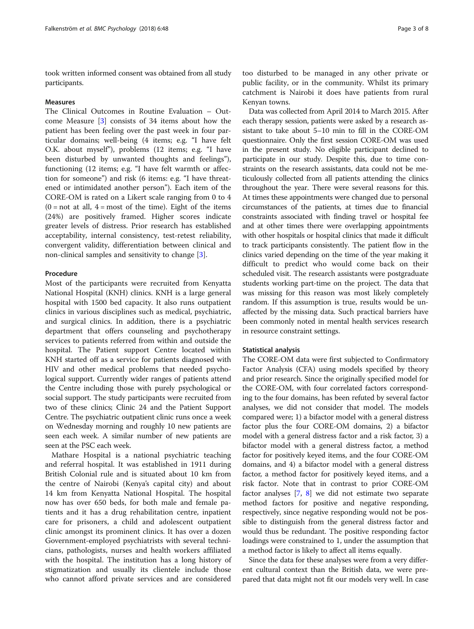took written informed consent was obtained from all study participants.

## Measures

The Clinical Outcomes in Routine Evaluation – Outcome Measure [\[3\]](#page-6-0) consists of 34 items about how the patient has been feeling over the past week in four particular domains; well-being (4 items; e.g. "I have felt O.K. about myself"), problems (12 items; e.g. "I have been disturbed by unwanted thoughts and feelings"), functioning (12 items; e.g. "I have felt warmth or affection for someone") and risk (6 items: e.g. "I have threatened or intimidated another person"). Each item of the CORE-OM is rated on a Likert scale ranging from 0 to 4  $(0 = not at all, 4 = most of the time).$  Eight of the items (24%) are positively framed. Higher scores indicate greater levels of distress. Prior research has established acceptability, internal consistency, test-retest reliability, convergent validity, differentiation between clinical and non-clinical samples and sensitivity to change [\[3](#page-6-0)].

## Procedure

Most of the participants were recruited from Kenyatta National Hospital (KNH) clinics. KNH is a large general hospital with 1500 bed capacity. It also runs outpatient clinics in various disciplines such as medical, psychiatric, and surgical clinics. In addition, there is a psychiatric department that offers counseling and psychotherapy services to patients referred from within and outside the hospital. The Patient support Centre located within KNH started off as a service for patients diagnosed with HIV and other medical problems that needed psychological support. Currently wider ranges of patients attend the Centre including those with purely psychological or social support. The study participants were recruited from two of these clinics; Clinic 24 and the Patient Support Centre. The psychiatric outpatient clinic runs once a week on Wednesday morning and roughly 10 new patients are seen each week. A similar number of new patients are seen at the PSC each week.

Mathare Hospital is a national psychiatric teaching and referral hospital. It was established in 1911 during British Colonial rule and is situated about 10 km from the centre of Nairobi (Kenya's capital city) and about 14 km from Kenyatta National Hospital. The hospital now has over 650 beds, for both male and female patients and it has a drug rehabilitation centre, inpatient care for prisoners, a child and adolescent outpatient clinic amongst its prominent clinics. It has over a dozen Government-employed psychiatrists with several technicians, pathologists, nurses and health workers affiliated with the hospital. The institution has a long history of stigmatization and usually its clientele include those who cannot afford private services and are considered

too disturbed to be managed in any other private or public facility, or in the community. Whilst its primary catchment is Nairobi it does have patients from rural Kenyan towns.

Data was collected from April 2014 to March 2015. After each therapy session, patients were asked by a research assistant to take about 5–10 min to fill in the CORE-OM questionnaire. Only the first session CORE-OM was used in the present study. No eligible participant declined to participate in our study. Despite this, due to time constraints on the research assistants, data could not be meticulously collected from all patients attending the clinics throughout the year. There were several reasons for this. At times these appointments were changed due to personal circumstances of the patients, at times due to financial constraints associated with finding travel or hospital fee and at other times there were overlapping appointments with other hospitals or hospital clinics that made it difficult to track participants consistently. The patient flow in the clinics varied depending on the time of the year making it difficult to predict who would come back on their scheduled visit. The research assistants were postgraduate students working part-time on the project. The data that was missing for this reason was most likely completely random. If this assumption is true, results would be unaffected by the missing data. Such practical barriers have been commonly noted in mental health services research in resource constraint settings.

## Statistical analysis

The CORE-OM data were first subjected to Confirmatory Factor Analysis (CFA) using models specified by theory and prior research. Since the originally specified model for the CORE-OM, with four correlated factors corresponding to the four domains, has been refuted by several factor analyses, we did not consider that model. The models compared were; 1) a bifactor model with a general distress factor plus the four CORE-OM domains, 2) a bifactor model with a general distress factor and a risk factor, 3) a bifactor model with a general distress factor, a method factor for positively keyed items, and the four CORE-OM domains, and 4) a bifactor model with a general distress factor, a method factor for positively keyed items, and a risk factor. Note that in contrast to prior CORE-OM factor analyses [[7,](#page-6-0) [8](#page-6-0)] we did not estimate two separate method factors for positive and negative responding, respectively, since negative responding would not be possible to distinguish from the general distress factor and would thus be redundant. The positive responding factor loadings were constrained to 1, under the assumption that a method factor is likely to affect all items equally.

Since the data for these analyses were from a very different cultural context than the British data, we were prepared that data might not fit our models very well. In case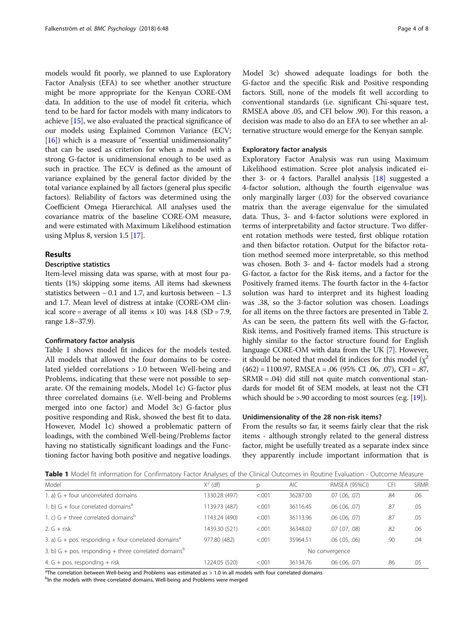models would fit poorly, we planned to use Exploratory Factor Analysis (EFA) to see whether another structure might be more appropriate for the Kenyan CORE-OM data. In addition to the use of model fit criteria, which tend to be hard for factor models with many indicators to achieve [[15\]](#page-7-0), we also evaluated the practical significance of our models using Explained Common Variance (ECV;  $[16]$  $[16]$  $[16]$ ) which is a measure of "essential unidimensionality" that can be used as criterion for when a model with a strong G-factor is unidimensional enough to be used as such in practice. The ECV is defined as the amount of variance explained by the general factor divided by the total variance explained by all factors (general plus specific factors). Reliability of factors was determined using the Coefficient Omega Hierarchical. All analyses used the covariance matrix of the baseline CORE-OM measure, and were estimated with Maximum Likelihood estimation using Mplus 8, version 1.5 [\[17\]](#page-7-0).

## Results

## Descriptive statistics

Item-level missing data was sparse, with at most four patients (1%) skipping some items. All items had skewness statistics between − 0.1 and 1.7, and kurtosis between − 1.3 and 1.7. Mean level of distress at intake (CORE-OM clinical score = average of all items  $\times$  10) was 14.8 (SD = 7.9, range 1.8–37.9).

## Confirmatory factor analysis

Table 1 shows model fit indices for the models tested. All models that allowed the four domains to be correlated yielded correlations > 1.0 between Well-being and Problems, indicating that these were not possible to separate. Of the remaining models, Model 1c) G-factor plus three correlated domains (i.e. Well-being and Problems merged into one factor) and Model 3c) G-factor plus positive responding and Risk, showed the best fit to data. However, Model 1c) showed a problematic pattern of loadings, with the combined Well-being/Problems factor having no statistically significant loadings and the Functioning factor having both positive and negative loadings. Model 3c) showed adequate loadings for both the G-factor and the specific Risk and Positive responding factors. Still, none of the models fit well according to conventional standards (i.e. significant Chi-square test, RMSEA above .05, and CFI below .90). For this reason, a decision was made to also do an EFA to see whether an alternative structure would emerge for the Kenyan sample.

## Exploratory factor analysis

Exploratory Factor Analysis was run using Maximum Likelihood estimation. Scree plot analysis indicated either 3- or 4 factors. Parallel analysis [[18\]](#page-7-0) suggested a 4-factor solution, although the fourth eigenvalue was only marginally larger (.03) for the observed covariance matrix than the average eigenvalue for the simulated data. Thus, 3- and 4-factor solutions were explored in terms of interpretability and factor structure. Two different rotation methods were tested, first oblique rotation and then bifactor rotation. Output for the bifactor rotation method seemed more interpretable, so this method was chosen. Both 3- and 4- factor models had a strong G-factor, a factor for the Risk items, and a factor for the Positively framed items. The fourth factor in the 4-factor solution was hard to interpret and its highest loading was .38, so the 3-factor solution was chosen. Loadings for all items on the three factors are presented in Table [2](#page-5-0). As can be seen, the pattern fits well with the G-factor, Risk items, and Positively framed items. This structure is highly similar to the factor structure found for English language CORE-OM with data from the UK [[7](#page-6-0)]. However, it should be noted that model fit indices for this model  $(\chi^2)$  $(462) = 1100.97$ , RMSEA = .06  $(95\%$  CI .06, .07), CFI = .87, SRMR = .04) did still not quite match conventional standards for model fit of SEM models, at least not the CFI which should be >.90 according to most sources (e.g. [\[19\]](#page-7-0)).

#### Unidimensionality of the 28 non-risk items?

From the results so far, it seems fairly clear that the risk items - although strongly related to the general distress factor, might be usefully treated as a separate index since they apparently include important information that is

|  | <b>Table 1</b> Model fit information for Confirmatory Factor Analyses of the Clinical Outcomes in Routine Evaluation - Outcome Measure |  |  |  |  |  |  |
|--|----------------------------------------------------------------------------------------------------------------------------------------|--|--|--|--|--|--|
|--|----------------------------------------------------------------------------------------------------------------------------------------|--|--|--|--|--|--|

| Model                                                                | $X^2$ (df)     | p       | <b>AIC</b> | <b>RMSEA (95%CI)</b> | <b>CFI</b> | SRMF |  |
|----------------------------------------------------------------------|----------------|---------|------------|----------------------|------------|------|--|
| 1. a) $G +$ four uncorrelated domains                                | 1330.28 (497)  | < 0.001 | 36287.00   | $.07$ $(.06, .07)$   | .84        | .06  |  |
| 1. b) $G +$ four correlated domains <sup>a</sup>                     | 1139.73 (487)  | < 0.001 | 36116.45   | $.06$ $(.06, .07)$   | .87        | .05  |  |
| 1. c) $G +$ three correlated domains <sup>b</sup>                    | 1143.24 (490)  | < 0.001 | 36113.96   | $.06$ $(.06, .07)$   | .87        | .05  |  |
| $2. G + risk$                                                        | 1439.30 (521)  | < 0.001 | 36348.02   | $.07$ $(.07, .08)$   | .82        | .06  |  |
| 3. a) $G + pos.$ responding $+ four$ correlated domains <sup>a</sup> | 977.80 (482)   | < 0.001 | 35964.51   | $.06$ $(.05, .06)$   | .90        | .04  |  |
| 3. b) $G + pos$ responding + three correlated domains <sup>b</sup>   | No convergence |         |            |                      |            |      |  |
| 4. $G + pos.$ responding $+$ risk                                    | 1224.05 (520)  | < 0.001 | 36134.76   | $.06$ $(.06, .07)$   | .86        | .05  |  |

<sup>a</sup>The correlation between Well-being and Problems was estimated as > 1.0 in all models with four correlated domains

<sup>b</sup>In the models with three correlated domains, Well-being and Problems were merged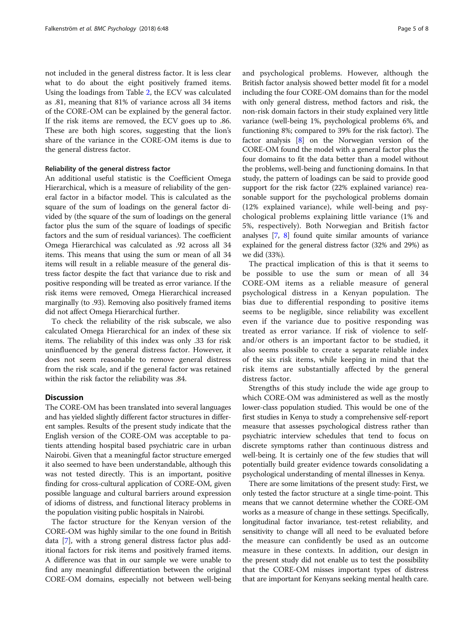not included in the general distress factor. It is less clear what to do about the eight positively framed items. Using the loadings from Table [2,](#page-5-0) the ECV was calculated as .81, meaning that 81% of variance across all 34 items of the CORE-OM can be explained by the general factor. If the risk items are removed, the ECV goes up to .86. These are both high scores, suggesting that the lion's share of the variance in the CORE-OM items is due to the general distress factor.

## Reliability of the general distress factor

An additional useful statistic is the Coefficient Omega Hierarchical, which is a measure of reliability of the general factor in a bifactor model. This is calculated as the square of the sum of loadings on the general factor divided by (the square of the sum of loadings on the general factor plus the sum of the square of loadings of specific factors and the sum of residual variances). The coefficient Omega Hierarchical was calculated as .92 across all 34 items. This means that using the sum or mean of all 34 items will result in a reliable measure of the general distress factor despite the fact that variance due to risk and positive responding will be treated as error variance. If the risk items were removed, Omega Hierarchical increased marginally (to .93). Removing also positively framed items did not affect Omega Hierarchical further.

To check the reliability of the risk subscale, we also calculated Omega Hierarchical for an index of these six items. The reliability of this index was only .33 for risk uninfluenced by the general distress factor. However, it does not seem reasonable to remove general distress from the risk scale, and if the general factor was retained within the risk factor the reliability was .84.

## **Discussion**

The CORE-OM has been translated into several languages and has yielded slightly different factor structures in different samples. Results of the present study indicate that the English version of the CORE-OM was acceptable to patients attending hospital based psychiatric care in urban Nairobi. Given that a meaningful factor structure emerged it also seemed to have been understandable, although this was not tested directly. This is an important, positive finding for cross-cultural application of CORE-OM, given possible language and cultural barriers around expression of idioms of distress, and functional literacy problems in the population visiting public hospitals in Nairobi.

The factor structure for the Kenyan version of the CORE-OM was highly similar to the one found in British data [\[7\]](#page-6-0), with a strong general distress factor plus additional factors for risk items and positively framed items. A difference was that in our sample we were unable to find any meaningful differentiation between the original CORE-OM domains, especially not between well-being and psychological problems. However, although the British factor analysis showed better model fit for a model including the four CORE-OM domains than for the model with only general distress, method factors and risk, the non-risk domain factors in their study explained very little variance (well-being 1%, psychological problems 6%, and functioning 8%; compared to 39% for the risk factor). The factor analysis [[8\]](#page-6-0) on the Norwegian version of the CORE-OM found the model with a general factor plus the four domains to fit the data better than a model without the problems, well-being and functioning domains. In that study, the pattern of loadings can be said to provide good support for the risk factor (22% explained variance) reasonable support for the psychological problems domain (12% explained variance), while well-being and psychological problems explaining little variance (1% and 5%, respectively). Both Norwegian and British factor analyses [[7](#page-6-0), [8](#page-6-0)] found quite similar amounts of variance explained for the general distress factor (32% and 29%) as we did (33%).

The practical implication of this is that it seems to be possible to use the sum or mean of all 34 CORE-OM items as a reliable measure of general psychological distress in a Kenyan population. The bias due to differential responding to positive items seems to be negligible, since reliability was excellent even if the variance due to positive responding was treated as error variance. If risk of violence to selfand/or others is an important factor to be studied, it also seems possible to create a separate reliable index of the six risk items, while keeping in mind that the risk items are substantially affected by the general distress factor.

Strengths of this study include the wide age group to which CORE-OM was administered as well as the mostly lower-class population studied. This would be one of the first studies in Kenya to study a comprehensive self-report measure that assesses psychological distress rather than psychiatric interview schedules that tend to focus on discrete symptoms rather than continuous distress and well-being. It is certainly one of the few studies that will potentially build greater evidence towards consolidating a psychological understanding of mental illnesses in Kenya.

There are some limitations of the present study: First, we only tested the factor structure at a single time-point. This means that we cannot determine whether the CORE-OM works as a measure of change in these settings. Specifically, longitudinal factor invariance, test-retest reliability, and sensitivity to change will all need to be evaluated before the measure can confidently be used as an outcome measure in these contexts. In addition, our design in the present study did not enable us to test the possibility that the CORE-OM misses important types of distress that are important for Kenyans seeking mental health care.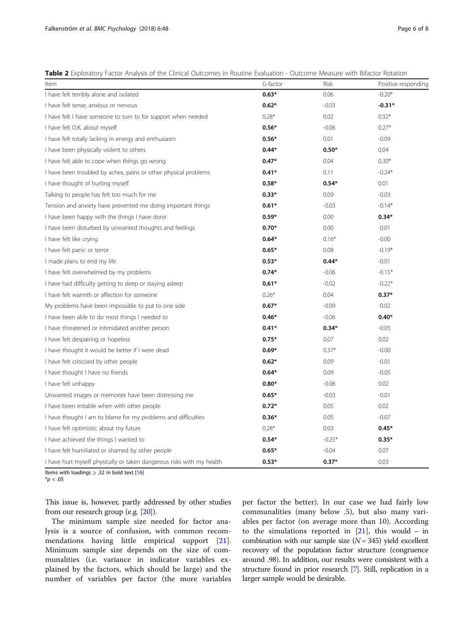<span id="page-5-0"></span>Table 2 Exploratory Factor Analysis of the Clinical Outcomes in Routine Evaluation - Outcome Measure with Bifactor Rotation

| Item                                                                  | G-factor | Risk     | Positive responding |  |
|-----------------------------------------------------------------------|----------|----------|---------------------|--|
| I have felt terribly alone and isolated                               | $0.63*$  | 0.06     | $-0.20*$            |  |
| I have felt tense, anxious or nervous                                 | $0.62*$  | $-0.03$  | $-0.31*$            |  |
| I have felt I have someone to turn to for support when needed         | $0.28*$  | 0.02     | $0.32*$             |  |
| I have felt O.K. about myself                                         | $0.56*$  | $-0.06$  | $0.27*$             |  |
| I have felt totally lacking in energy and enthusiasm                  | $0.56*$  | 0.01     | $-0.09$             |  |
| I have been physically violent to others                              | $0.44*$  | $0.50*$  | 0.04                |  |
| I have felt able to cope when things go wrong                         | $0.47*$  | 0.04     | $0.30*$             |  |
| I have been troubled by aches, pains or other physical problems       | $0.41*$  | 0.11     | $-0.24*$            |  |
| I have thought of hurting myself                                      | $0.58*$  | $0.54*$  | 0.01                |  |
| Talking to people has felt too much for me                            | $0.33*$  | 0.09     | $-0.03$             |  |
| Tension and anxiety have prevented me doing important things          | $0.61*$  | $-0.03$  | $-0.14*$            |  |
| I have been happy with the things I have done                         | $0.59*$  | 0.00     | $0.34*$             |  |
| I have been disturbed by unwanted thoughts and feelings               | $0.70*$  | 0.00     | $-0.01$             |  |
| I have felt like crying                                               | $0.64*$  | $0.16*$  | $-0.00$             |  |
| I have felt panic or terror                                           | $0.65*$  | 0.08     | $-0.19*$            |  |
| I made plans to end my life                                           | $0.53*$  | $0.44*$  | $-0.01$             |  |
| I have felt overwhelmed by my problems                                | $0.74*$  | $-0.06$  | $-0.15*$            |  |
| I have had difficulty getting to sleep or staying asleep              | $0.61*$  | $-0.02$  | $-0.22*$            |  |
| I have felt warmth or affection for someone                           | $0.26*$  | 0.04     | $0.37*$             |  |
| My problems have been impossible to put to one side                   | $0.67*$  | $-0.09$  | $-0.02$             |  |
| I have been able to do most things I needed to                        | $0.46*$  | $-0.06$  | $0.40*$             |  |
| I have threatened or intimidated another person                       | $0.41*$  | $0.34*$  | $-0.05$             |  |
| I have felt despairing or hopeless                                    | $0.75*$  | 0.07     | 0.02                |  |
| I have thought it would be better if I were dead                      | $0.69*$  | $0.37*$  | $-0.00$             |  |
| I have felt criticised by other people                                | $0.62*$  | 0.09     | $-0.01$             |  |
| I have thought I have no friends                                      | $0.64*$  | 0.09     | $-0.05$             |  |
| I have felt unhappy                                                   | $0.80*$  | $-0.06$  | 0.02                |  |
| Unwanted images or memories have been distressing me                  | $0.65*$  | $-0.03$  | $-0.01$             |  |
| I have been irritable when with other people                          | $0.72*$  | 0.05     | 0.02                |  |
| I have thought I am to blame for my problems and difficulties         | $0.36*$  | 0.05     | $-0.07$             |  |
| I have felt optimistic about my future                                | $0.28*$  | 0.03     | $0.45*$             |  |
| I have achieved the things I wanted to                                | $0.54*$  | $-0.25*$ | $0.35*$             |  |
| I have felt humiliated or shamed by other people                      | $0.65*$  | $-0.04$  | 0.07                |  |
| I have hurt myself physically or taken dangerous risks with my health | $0.53*$  | $0.37*$  | 0.03                |  |

Items with loadings  $\geq$  .32 in bold text [[16\]](#page-7-0)  $*p < .05$ 

This issue is, however, partly addressed by other studies from our research group (e.g. [\[20\]](#page-7-0)).

The minimum sample size needed for factor analysis is a source of confusion, with common recommendations having little empirical support [\[21](#page-7-0)]. Minimum sample size depends on the size of communalities (i.e. variance in indicator variables explained by the factors, which should be large) and the number of variables per factor (the more variables

per factor the better). In our case we had fairly low communalities (many below .5), but also many variables per factor (on average more than 10). According to the simulations reported in  $[21]$  $[21]$ , this would – in combination with our sample size  $(N = 345)$  yield excellent recovery of the population factor structure (congruence around .98). In addition, our results were consistent with a structure found in prior research [\[7\]](#page-6-0). Still, replication in a larger sample would be desirable.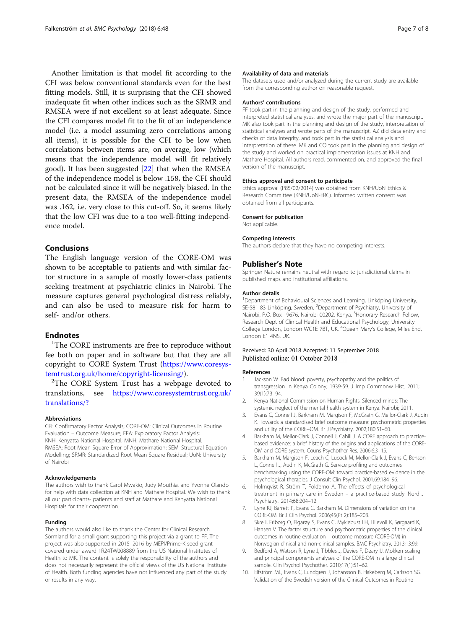<span id="page-6-0"></span>Another limitation is that model fit according to the CFI was below conventional standards even for the best fitting models. Still, it is surprising that the CFI showed inadequate fit when other indices such as the SRMR and RMSEA were if not excellent so at least adequate. Since the CFI compares model fit to the fit of an independence model (i.e. a model assuming zero correlations among all items), it is possible for the CFI to be low when correlations between items are, on average, low (which means that the independence model will fit relatively good). It has been suggested [[22](#page-7-0)] that when the RMSEA of the independence model is below .158, the CFI should not be calculated since it will be negatively biased. In the present data, the RMSEA of the independence model was .162, i.e. very close to this cut-off. So, it seems likely that the low CFI was due to a too well-fitting independence model.

## **Conclusions**

The English language version of the CORE-OM was shown to be acceptable to patients and with similar factor structure in a sample of mostly lower-class patients seeking treatment at psychiatric clinics in Nairobi. The measure captures general psychological distress reliably, and can also be used to measure risk for harm to self- and/or others.

## **Endnotes**

<sup>1</sup>The CORE instruments are free to reproduce without fee both on paper and in software but that they are all copyright to CORE System Trust ([https://www.coresys](https://www.coresystemtrust.org.uk/home/copyright-licensing)[temtrust.org.uk/home/copyright-licensing/](https://www.coresystemtrust.org.uk/home/copyright-licensing)). <sup>2</sup>

<sup>2</sup>The CORE System Trust has a webpage devoted to translations, see [https://www.coresystemtrust.org.uk/](https://www.coresystemtrust.org.uk/translations/?) [translations/?](https://www.coresystemtrust.org.uk/translations/?)

#### Abbreviations

CFI: Confirmatory Factor Analysis; CORE-OM: Clinical Outcomes in Routine Evaluation – Outcome Measure; EFA: Exploratory Factor Analysis; KNH: Kenyatta National Hospital; MNH: Mathare National Hospital; RMSEA: Root Mean Square Error of Approximation; SEM: Structural Equation Modelling; SRMR: Standardized Root Mean Square Residual; UoN: University of Nairobi

#### Acknowledgements

The authors wish to thank Carol Mwakio, Judy Mbuthia, and Yvonne Olando for help with data collection at KNH and Mathare Hospital. We wish to thank all our participants- patients and staff at Mathare and Kenyatta National Hospitals for their cooperation.

### Funding

The authors would also like to thank the Center for Clinical Research Sörmland for a small grant supporting this project via a grant to FF. The project was also supported in 2015–2016 by MEPI/Prime-K seed grant covered under award 1R24TW008889 from the US National Institutes of Health to MK. The content is solely the responsibility of the authors and does not necessarily represent the official views of the US National Institute of Health. Both funding agencies have not influenced any part of the study or results in any way.

## Availability of data and materials

The datasets used and/or analyzed during the current study are available from the corresponding author on reasonable request.

#### Authors' contributions

FF took part in the planning and design of the study, performed and interpreted statistical analyses, and wrote the major part of the manuscript. MK also took part in the planning and design of the study, interpretation of statistical analyses and wrote parts of the manuscript. AZ did data entry and checks of data integrity, and took part in the statistical analysis and interpretation of these. MK and CO took part in the planning and design of the study and worked on practical implementation issues at KNH and Mathare Hospital. All authors read, commented on, and approved the final version of the manuscript.

#### Ethics approval and consent to participate

Ethics approval (P85/02/2014) was obtained from KNH/UoN Ethics & Research Committee (KNH/UoN-ERC). Informed written consent was obtained from all participants.

#### Consent for publication

Not applicable.

#### Competing interests

The authors declare that they have no competing interests.

## Publisher's Note

Springer Nature remains neutral with regard to jurisdictional claims in published maps and institutional affiliations.

#### Author details

<sup>1</sup>Department of Behavioural Sciences and Learning, Linköping University, SE-581 83 Linköping, Sweden. <sup>2</sup>Department of Psychiatry, University of Nairobi, P.O. Box 19676, Nairobi 00202, Kenya. <sup>3</sup>Honorary Research Fellow, Research Dept of Clinical Health and Educational Psychology, University College London, London WC1E 7BT, UK. <sup>4</sup>Queen Mary's College, Miles End, London E1 4NS, UK.

## Received: 30 April 2018 Accepted: 11 September 2018 Published online: 01 October 2018

#### References

- 1. Jackson W. Bad blood: poverty, psychopathy and the politics of transgression in Kenya Colony, 1939-59. J Imp Commonw Hist. 2011; 39(1):73–94.
- 2. Kenya National Commission on Human Rights. Silenced minds: The systemic neglect of the mental health system in Kenya. Nairobi; 2011.
- 3. Evans C, Connell J, Barkham M, Margison F, McGrath G, Mellor-Clark J, Audin K. Towards a standardised brief outcome measure: psychometric properties and utility of the CORE--OM. Br J Psychiatry. 2002;180:51–60.
- 4. Barkham M, Mellor-Clark J, Connell J, Cahill J. A CORE approach to practicebased evidence: a brief history of the origins and applications of the CORE-OM and CORE system. Couns Psychother Res. 2006;6:3–15.
- 5. Barkham M, Margison F, Leach C, Lucock M, Mellor-Clark J, Evans C, Benson L, Connell J, Audin K, McGrath G. Service profiling and outcomes benchmarking using the CORE-OM: toward practice-based evidence in the psychological therapies. J Consult Clin Psychol. 2001;69:184–96.
- 6. Holmqvist R, Ström T, Foldemo A. The effects of psychological treatment in primary care in Sweden – a practice-based study. Nord J Psychiatry. 2014;68:204–12.
- 7. Lyne KJ, Barrett P, Evans C, Barkham M. Dimensions of variation on the CORE-OM. Br J Clin Psychol. 2006;45(Pt 2):185–203.
- 8. Skre I, Friborg O, Elgarøy S, Evans C, Myklebust LH, Lillevoll K, Sørgaard K, Hansen V. The factor structure and psychometric properties of the clinical outcomes in routine evaluation – outcome measure (CORE-OM) in Norwegian clinical and non-clinical samples. BMC Psychiatry. 2013;13:99.
- 9. Bedford A, Watson R, Lyne J, Tibbles J, Davies F, Deary IJ. Mokken scaling and principal components analyses of the CORE-OM in a large clinical sample. Clin Psychol Psychother. 2010;17(1):51–62.
- 10. Elfström ML, Evans C, Lundgren J, Johansson B, Hakeberg M, Carlsson SG. Validation of the Swedish version of the Clinical Outcomes in Routine